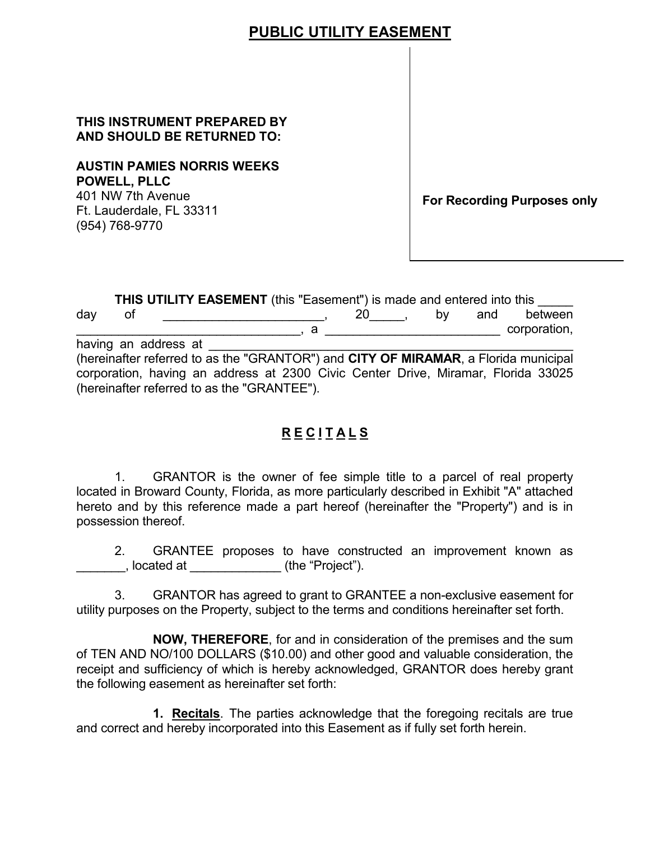# **THIS INSTRUMENT PREPARED BY AND SHOULD BE RETURNED TO:**

# **AUSTIN PAMIES NORRIS WEEKS** THIS INSTRUME<br>AND SHOULD B<br>AUSTIN PAMIES<br>POWELL, PLLC

 401 NW 7th Avenue **For Recording Purposes only** Ft. Lauderdale, FL <sup>3331</sup><sup>1</sup> 401 NW 7th Avenue (954) 768-9770

by and between  $, a$ a<br>
s the "GRANTOR")<br>
address at 2300 (<br>
s the "GRANTEE").<br> **RECI**<br>
is the owner of 1 **PUBLIC UTILITY EASEMENT**<br> **PUBLIC UTILITY EASEMENT**<br>
SIN PAMIES NORRIS WEEKS<br>
NET PAMIES NORRIS WEEKS<br>
NET PLUC<br>
NET PLUC<br>
AT A Avenue<br>
A 763-9770<br>
THIS UTILITY EASEMENT (this "Easement") is made and ease<br>
A 763-9770<br>
THI **THIS UTILITY EASEMENT** (this "Easement") is made and entered into this \_\_\_\_\_ day of <u>\_\_\_\_\_\_\_\_\_\_\_\_\_\_\_\_\_\_\_\_\_\_</u> , 20 ,  $\blacksquare$  corporation, having an address at (hereinafter referred to as the "GRANTOR") and **CITY OF MIRAMAR**, a Florida municipal corporation, having an address at 2300 Civic Center Drive, Miramar, Florida 33025 (hereinafter referred to as the "GRANTEE").

# **R E C I T A L S**

 $1$  located in Broward County, Florida, as more particularly described in Exhibit "A" attached hereto and by this reference made a part hereof (hereinafter the "Property") and is in possession thereof. GRANTOR is the owner of fee simple title to a parcel of real property

 $2<sub>1</sub>$ ĺ, GRANTEE proposes to have constructed an improvement known as \_\_\_\_\_\_\_, located at \_\_\_\_\_\_\_\_\_\_\_\_\_ (the "Project").

 $3<sub>1</sub>$ 3. GRANTOR has agreed to grant to GRANTEE a non-exclusive easement for

utility purposes on the Property, subject to the terms and conditions hereinafter set forth.<br>**NOW, THEREFORE**, for and in consideration of the premises and the suı of TEN AND NO/100 DOLLARS (\$10.00) and other good and valuable consideration, the receipt and sufficiency of which is hereby acknowledged, GRANTOR does hereby grant the following easement as hereinafter set forth: **NOW, THEREFORE**, for and in consideration of the premises and the sum

**1. Recitals**. The parties acknowledge that the foregoing recitals are true and correct and hereby incorporated into this Easement as if fully set forth herein.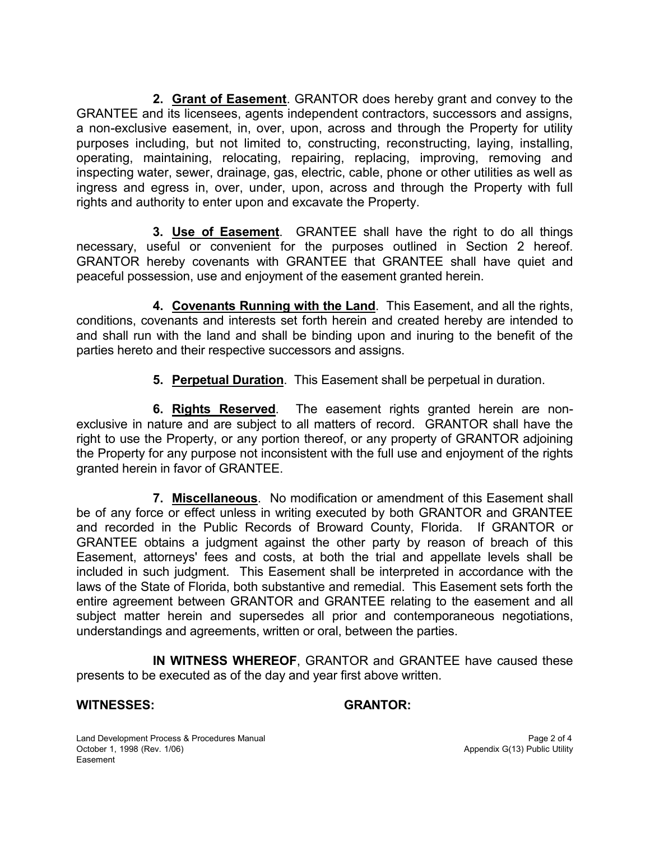**2. Grant of Easement**. GRANTOR does hereby grant and convey to the a non-exclusive easement, in, over, upon, across and through the Property for utility operating, maintaining, relocating, repairing, replacing, improving, removing and ingress and egress in, over, under, upon, across and through the Property with full GRANTEE and its licensees, agents independent contractors, successors and assigns, purposes including, but not limited to, constructing, reconstructing, laying, installing, inspecting water, sewer, drainage, gas, electric, cable, phone or other utilities as well as rights and authority to enter upon and excavate the Property.

**3. Use of Easement**. GRANTEE shall have the right to do all things necessary, useful or convenient for the purposes outlined in Section 2 hereof. GRANTOR hereby covenants with GRANTEE that GRANTEE shall have quiet and peaceful possession, use and enjoyment of the easement granted herein.

 **4. Covenants Running with the Land**. This Easement, and all the rights, conditions, covenants and interests set forth herein and created hereby are intended to and shall run with the land and shall be binding upon and inuring to the benefit of the parties hereto and their respective successors and assigns.

**5. Perpetual Duration**. This Easement shall be perpetual in duration.

 **6. Rights Reserved**. The easement rights granted herein are nonexclusive in nature and are subject to all matters of record. GRANTOR shall have the right to use the Property, or any portion thereof, or any property of GRANTOR adjoining the Property for any purpose not inconsistent with the full use and enjoyment of the rights granted herein in favor of GRANTEE.

 **7. Miscellaneous**. No modification or amendment of this Easement shall included in such judgment. This Easement shall be interpreted in accordance with the laws of the State of Florida, both substantive and remedial. This Easement sets forth the be of any force or effect unless in writing executed by both GRANTOR and GRANTEE and recorded in the Public Records of Broward County, Florida. If GRANTOR or GRANTEE obtains a judgment against the other party by reason of breach of this Easement, attorneys' fees and costs, at both the trial and appellate levels shall be entire agreement between GRANTOR and GRANTEE relating to the easement and all subject matter herein and supersedes all prior and contemporaneous negotiations, understandings and agreements, written or oral, between the parties.

 presents to be executed as of the day and year first above written. **IN WITNESS WHEREOF**, GRANTOR and GRANTEE have caused these

## **WITNESSES: GRANTOR:**

Land Development Process & Procedures Manual **Page 2 of 4** and Development Process & Procedures Manual Page 2 of 4 Easement October 1, 1998 (Rev. 1/06)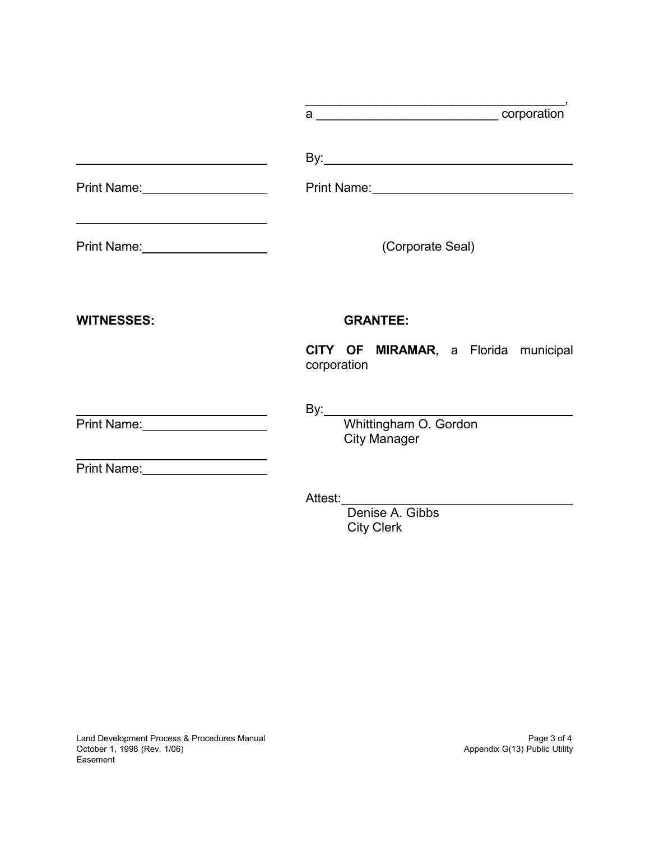| Print Name: <u>Discontinue</u>                                             | Print Name: <u>__________________________________</u>                                            |
|----------------------------------------------------------------------------|--------------------------------------------------------------------------------------------------|
| Print Name: 2008                                                           | (Corporate Seal)                                                                                 |
| <b>WITNESSES:</b>                                                          | <b>GRANTEE:</b>                                                                                  |
|                                                                            | CITY OF MIRAMAR, a Florida municipal<br>corporation                                              |
| Print Name: 1990 1991<br><u> 1989 - Johann Barbara, martxa alemaniar a</u> | By: $\frac{1}{2}$<br>Whittingham O. Gordon<br><b>City Manager</b>                                |
|                                                                            | Attest: <u>with a series of the series of the series</u><br>Denise A. Gibbs<br><b>City Clerk</b> |
| Land Development Process & Procedures Manual                               | Page 3 of 4                                                                                      |

\_\_\_\_\_\_\_\_\_\_\_\_\_\_\_\_\_\_\_\_\_\_\_\_\_\_\_\_\_\_\_\_\_\_\_\_\_,